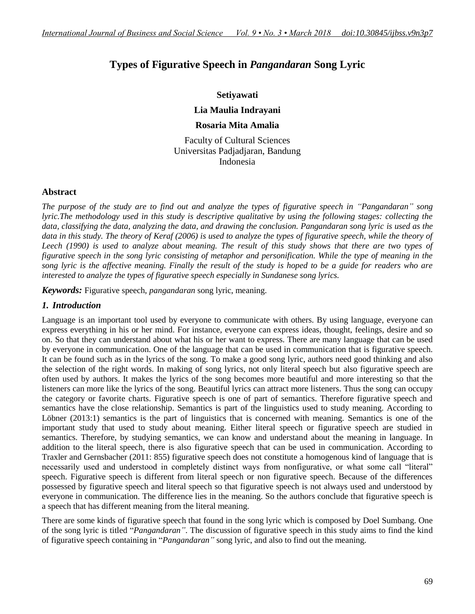# **Types of Figurative Speech in** *Pangandaran* **Song Lyric**

### **Setiyawati**

**Lia Maulia Indrayani**

### **Rosaria Mita Amalia**

Faculty of Cultural Sciences Universitas Padjadjaran, Bandung Indonesia

### **Abstract**

*The purpose of the study are to find out and analyze the types of figurative speech in "Pangandaran" song lyric.The methodology used in this study is descriptive qualitative by using the following stages: collecting the data, classifying the data, analyzing the data, and drawing the conclusion. Pangandaran song lyric is used as the data in this study. The theory of Keraf (2006) is used to analyze the types of figurative speech, while the theory of Leech (1990) is used to analyze about meaning. The result of this study shows that there are two types of*  figurative speech in the song lyric consisting of metaphor and personification. While the type of meaning in the *song lyric is the affective meaning. Finally the result of the study is hoped to be a guide for readers who are interested to analyze the types of figurative speech especially in Sundanese song lyrics.*

*Keywords:* Figurative speech, *pangandaran* song lyric, meaning.

### *1. Introduction*

Language is an important tool used by everyone to communicate with others. By using language, everyone can express everything in his or her mind. For instance, everyone can express ideas, thought, feelings, desire and so on. So that they can understand about what his or her want to express. There are many language that can be used by everyone in communication. One of the language that can be used in communication that is figurative speech. It can be found such as in the lyrics of the song. To make a good song lyric, authors need good thinking and also the selection of the right words. In making of song lyrics, not only literal speech but also figurative speech are often used by authors. It makes the lyrics of the song becomes more beautiful and more interesting so that the listeners can more like the lyrics of the song. Beautiful lyrics can attract more listeners. Thus the song can occupy the category or favorite charts. Figurative speech is one of part of semantics. Therefore figurative speech and semantics have the close relationship. Semantics is part of the linguistics used to study meaning. According to Löbner (2013:1) semantics is the part of linguistics that is concerned with meaning. Semantics is one of the important study that used to study about meaning. Either literal speech or figurative speech are studied in semantics. Therefore, by studying semantics, we can know and understand about the meaning in language. In addition to the literal speech, there is also figurative speech that can be used in communication. According to Traxler and Gernsbacher (2011: 855) figurative speech does not constitute a homogenous kind of language that is necessarily used and understood in completely distinct ways from nonfigurative, or what some call "literal" speech. Figurative speech is different from literal speech or non figurative speech. Because of the differences possessed by figurative speech and literal speech so that figurative speech is not always used and understood by everyone in communication. The difference lies in the meaning. So the authors conclude that figurative speech is a speech that has different meaning from the literal meaning.

There are some kinds of figurative speech that found in the song lyric which is composed by Doel Sumbang. One of the song lyric is titled "*Pangandaran"*. The discussion of figurative speech in this study aims to find the kind of figurative speech containing in "*Pangandaran"* song lyric, and also to find out the meaning.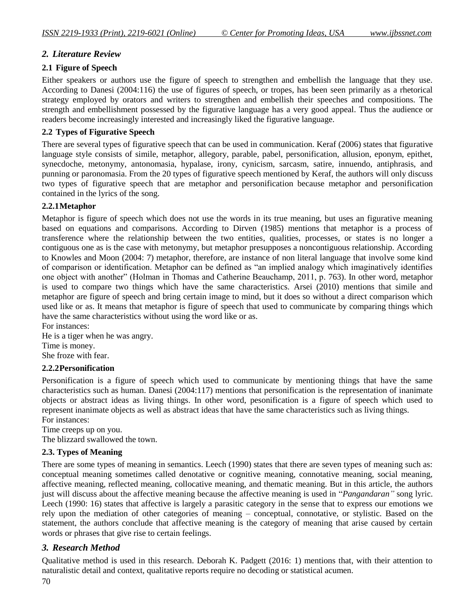# *2. Literature Review*

### **2.1 Figure of Speech**

Either speakers or authors use the figure of speech to strengthen and embellish the language that they use. According to Danesi (2004:116) the use of figures of speech, or tropes, has been seen primarily as a rhetorical strategy employed by orators and writers to strengthen and embellish their speeches and compositions. The strength and embellishment possessed by the figurative language has a very good appeal. Thus the audience or readers become increasingly interested and increasingly liked the figurative language.

### **2.2 Types of Figurative Speech**

There are several types of figurative speech that can be used in communication. Keraf (2006) states that figurative language style consists of simile, metaphor, allegory, parable, pabel, personification, allusion, eponym, epithet, synecdoche, metonymy, antonomasia, hypalase, irony, cynicism, sarcasm, satire, innuendo, antiphrasis, and punning or paronomasia. From the 20 types of figurative speech mentioned by Keraf, the authors will only discuss two types of figurative speech that are metaphor and personification because metaphor and personification contained in the lyrics of the song.

### **2.2.1Metaphor**

Metaphor is figure of speech which does not use the words in its true meaning, but uses an figurative meaning based on equations and comparisons. According to Dirven (1985) mentions that metaphor is a process of transference where the relationship between the two entities, qualities, processes, or states is no longer a contiguous one as is the case with metonymy, but metaphor presupposes a noncontiguous relationship. According to Knowles and Moon (2004: 7) metaphor, therefore, are instance of non literal language that involve some kind of comparison or identification. Metaphor can be defined as "an implied analogy which imaginatively identifies one object with another" (Holman in Thomas and Catherine Beauchamp, 2011, p. 763). In other word, metaphor is used to compare two things which have the same characteristics. Arsei (2010) mentions that simile and metaphor are figure of speech and bring certain image to mind, but it does so without a direct comparison which used like or as. It means that metaphor is figure of speech that used to communicate by comparing things which have the same characteristics without using the word like or as.

For instances: He is a tiger when he was angry. Time is money. She froze with fear.

### **2.2.2Personification**

Personification is a figure of speech which used to communicate by mentioning things that have the same characteristics such as human. Danesi (2004:117) mentions that personification is the representation of inanimate objects or abstract ideas as living things. In other word, pesonification is a figure of speech which used to represent inanimate objects as well as abstract ideas that have the same characteristics such as living things. For instances:

Time creeps up on you.

The blizzard swallowed the town.

# **2.3. Types of Meaning**

There are some types of meaning in semantics. Leech (1990) states that there are seven types of meaning such as: conceptual meaning sometimes called denotative or cognitive meaning, connotative meaning, social meaning, affective meaning, reflected meaning, collocative meaning, and thematic meaning. But in this article, the authors just will discuss about the affective meaning because the affective meaning is used in "*Pangandaran"* song lyric. Leech (1990: 16) states that affective is largely a parasitic category in the sense that to express our emotions we rely upon the mediation of other categories of meaning – conceptual, connotative, or stylistic. Based on the statement, the authors conclude that affective meaning is the category of meaning that arise caused by certain words or phrases that give rise to certain feelings.

# *3. Research Method*

Qualitative method is used in this research. Deborah K. Padgett (2016: 1) mentions that, with their attention to naturalistic detail and context, qualitative reports require no decoding or statistical acumen.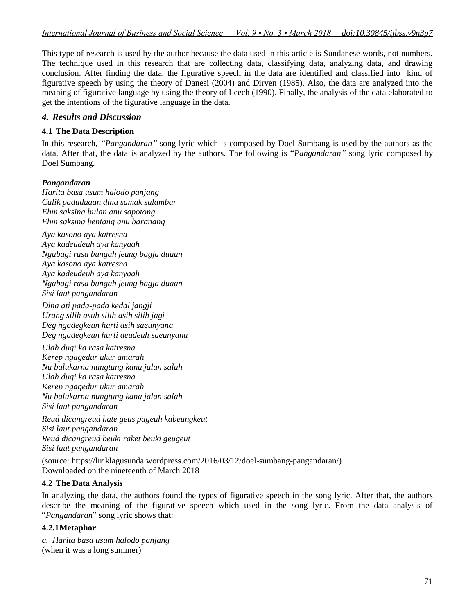This type of research is used by the author because the data used in this article is Sundanese words, not numbers. The technique used in this research that are collecting data, classifying data, analyzing data, and drawing conclusion. After finding the data, the figurative speech in the data are identified and classified into kind of figurative speech by using the theory of Danesi (2004) and Dirven (1985). Also, the data are analyzed into the meaning of figurative language by using the theory of Leech (1990). Finally, the analysis of the data elaborated to get the intentions of the figurative language in the data.

### *4. Results and Discussion*

### **4.1 The Data Description**

In this research, *"Pangandaran"* song lyric which is composed by Doel Sumbang is used by the authors as the data. After that, the data is analyzed by the authors. The following is "*Pangandaran"* song lyric composed by Doel Sumbang.

### *Pangandaran*

*Harita basa usum halodo panjang Calik paduduaan dina samak salambar Ehm saksina bulan anu sapotong Ehm saksina bentang anu baranang*

*Aya kasono aya katresna Aya kadeudeuh aya kanyaah Ngabagi rasa bungah jeung bagja duaan Aya kasono aya katresna Aya kadeudeuh aya kanyaah Ngabagi rasa bungah jeung bagja duaan Sisi laut pangandaran*

*Dina ati pada-pada kedal jangji Urang silih asuh silih asih silih jagi Deg ngadegkeun harti asih saeunyana Deg ngadegkeun harti deudeuh saeunyana*

*Ulah dugi ka rasa katresna Kerep ngagedur ukur amarah Nu balukarna nungtung kana jalan salah Ulah dugi ka rasa katresna Kerep ngagedur ukur amarah Nu balukarna nungtung kana jalan salah Sisi laut pangandaran*

*Reud dicangreud hate geus pageuh kabeungkeut Sisi laut pangandaran Reud dicangreud beuki raket beuki geugeut Sisi laut pangandaran*

(source: [https://liriklagusunda.wordpress.com/2016/03/12/doel-sumbang-pangandaran/\)](https://liriklagusunda.wordpress.com/2016/03/12/doel-sumbang-pangandaran/) Downloaded on the nineteenth of March 2018

### **4.2 The Data Analysis**

In analyzing the data, the authors found the types of figurative speech in the song lyric. After that, the authors describe the meaning of the figurative speech which used in the song lyric. From the data analysis of "*Pangandaran*" song lyric shows that:

### **4.2.1Metaphor**

*a. Harita basa usum halodo panjang* (when it was a long summer)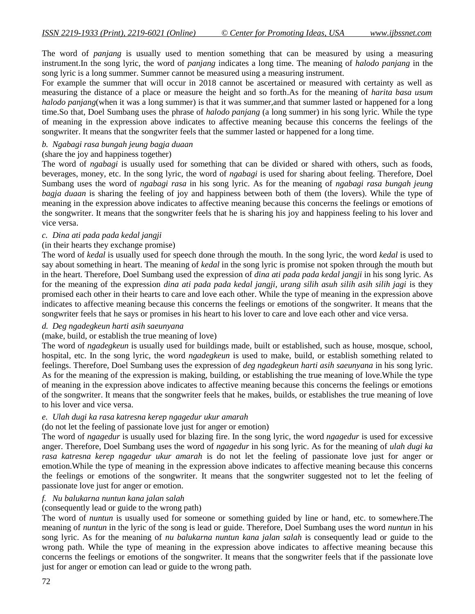The word of *panjang* is usually used to mention something that can be measured by using a measuring instrument.In the song lyric, the word of *panjang* indicates a long time. The meaning of *halodo panjang* in the song lyric is a long summer. Summer cannot be measured using a measuring instrument.

For example the summer that will occur in 2018 cannot be ascertained or measured with certainty as well as measuring the distance of a place or measure the height and so forth.As for the meaning of *harita basa usum halodo panjang*(when it was a long summer) is that it was summer,and that summer lasted or happened for a long time.So that, Doel Sumbang uses the phrase of *halodo panjang* (a long summer) in his song lyric. While the type of meaning in the expression above indicates to affective meaning because this concerns the feelings of the songwriter. It means that the songwriter feels that the summer lasted or happened for a long time.

#### *b. Ngabagi rasa bungah jeung bagja duaan*

#### (share the joy and happiness together)

The word of *ngabagi* is usually used for something that can be divided or shared with others, such as foods, beverages, money, etc. In the song lyric, the word of *ngabagi* is used for sharing about feeling. Therefore, Doel Sumbang uses the word of *ngabagi rasa* in his song lyric. As for the meaning of *ngabagi rasa bungah jeung bagja duaan* is sharing the feeling of joy and happiness between both of them (the lovers). While the type of meaning in the expression above indicates to affective meaning because this concerns the feelings or emotions of the songwriter. It means that the songwriter feels that he is sharing his joy and happiness feeling to his lover and vice versa.

#### *c. Dina ati pada pada kedal jangji*

#### (in their hearts they exchange promise)

The word of *kedal* is usually used for speech done through the mouth. In the song lyric, the word *kedal* is used to say about something in heart. The meaning of *kedal* in the song lyric is promise not spoken through the mouth but in the heart. Therefore, Doel Sumbang used the expression of *dina ati pada pada kedal jangji* in his song lyric. As for the meaning of the expression *dina ati pada pada kedal jangji, urang silih asuh silih asih silih jagi* is they promised each other in their hearts to care and love each other. While the type of meaning in the expression above indicates to affective meaning because this concerns the feelings or emotions of the songwriter. It means that the songwriter feels that he says or promises in his heart to his lover to care and love each other and vice versa.

#### *d. Deg ngadegkeun harti asih saeunyana*

### (make, build, or establish the true meaning of love)

The word of *ngadegkeun* is usually used for buildings made, built or established, such as house, mosque, school, hospital, etc. In the song lyric, the word *ngadegkeun* is used to make, build, or establish something related to feelings. Therefore, Doel Sumbang uses the expression of *deg ngadegkeun harti asih saeunyana* in his song lyric. As for the meaning of the expression is making, building, or establishing the true meaning of love.While the type of meaning in the expression above indicates to affective meaning because this concerns the feelings or emotions of the songwriter. It means that the songwriter feels that he makes, builds, or establishes the true meaning of love to his lover and vice versa.

#### *e. Ulah dugi ka rasa katresna kerep ngagedur ukur amarah*

#### (do not let the feeling of passionate love just for anger or emotion)

The word of *ngagedur* is usually used for blazing fire. In the song lyric, the word *ngagedur* is used for excessive anger. Therefore, Doel Sumbang uses the word of *ngagedur* in his song lyric. As for the meaning of *ulah dugi ka rasa katresna kerep ngagedur ukur amarah* is do not let the feeling of passionate love just for anger or emotion.While the type of meaning in the expression above indicates to affective meaning because this concerns the feelings or emotions of the songwriter. It means that the songwriter suggested not to let the feeling of passionate love just for anger or emotion.

#### *f. Nu balukarna nuntun kana jalan salah*

### (consequently lead or guide to the wrong path)

The word of *nuntun* is usually used for someone or something guided by line or hand, etc. to somewhere.The meaning of *nuntun* in the lyric of the song is lead or guide. Therefore, Doel Sumbang uses the word *nuntun* in his song lyric. As for the meaning of *nu balukarna nuntun kana jalan salah* is consequently lead or guide to the wrong path. While the type of meaning in the expression above indicates to affective meaning because this concerns the feelings or emotions of the songwriter. It means that the songwriter feels that if the passionate love just for anger or emotion can lead or guide to the wrong path.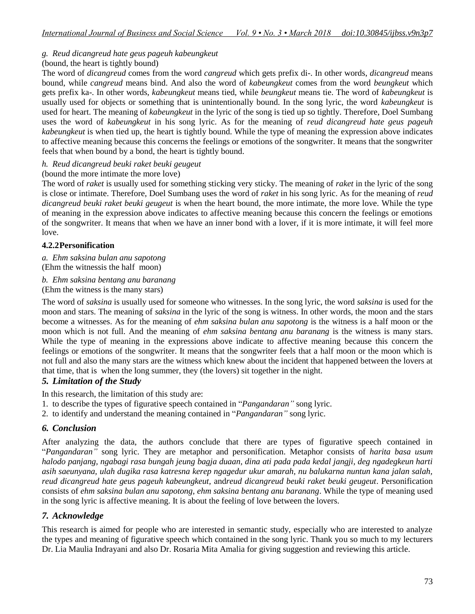*g. Reud dicangreud hate geus pageuh kabeungkeut*

### (bound, the heart is tightly bound)

The word of *dicangreud* comes from the word *cangreud* which gets prefix di-. In other words, *dicangreud* means bound, while *cangreud* means bind. And also the word of *kabeungkeut* comes from the word *beungkeut* which gets prefix ka-. In other words, *kabeungkeut* means tied, while *beungkeut* means tie. The word of *kabeungkeut* is usually used for objects or something that is unintentionally bound. In the song lyric, the word *kabeungkeut* is used for heart. The meaning of *kabeungkeut* in the lyric of the song is tied up so tightly. Therefore, Doel Sumbang uses the word of *kabeungkeut* in his song lyric. As for the meaning of *reud dicangreud hate geus pageuh kabeungkeut* is when tied up, the heart is tightly bound. While the type of meaning the expression above indicates to affective meaning because this concerns the feelings or emotions of the songwriter. It means that the songwriter feels that when bound by a bond, the heart is tightly bound.

### *h. Reud dicangreud beuki raket beuki geugeut*

### (bound the more intimate the more love)

The word of *raket* is usually used for something sticking very sticky. The meaning of *raket* in the lyric of the song is close or intimate. Therefore, Doel Sumbang uses the word of *raket* in his song lyric. As for the meaning of *reud dicangreud beuki raket beuki geugeut* is when the heart bound, the more intimate, the more love. While the type of meaning in the expression above indicates to affective meaning because this concern the feelings or emotions of the songwriter. It means that when we have an inner bond with a lover, if it is more intimate, it will feel more love.

### **4.2.2Personification**

*a. Ehm saksina bulan anu sapotong*  (Ehm the witnessis the half moon)

*b. Ehm saksina bentang anu baranang* (Ehm the witness is the many stars)

The word of *saksina* is usually used for someone who witnesses. In the song lyric, the word *saksina* is used for the moon and stars. The meaning of *saksina* in the lyric of the song is witness. In other words, the moon and the stars become a witnesses. As for the meaning of *ehm saksina bulan anu sapotong* is the witness is a half moon or the moon which is not full. And the meaning of *ehm saksina bentang anu baranang* is the witness is many stars. While the type of meaning in the expressions above indicate to affective meaning because this concern the feelings or emotions of the songwriter. It means that the songwriter feels that a half moon or the moon which is not full and also the many stars are the witness which knew about the incident that happened between the lovers at that time, that is when the long summer, they (the lovers) sit together in the night.

### *5. Limitation of the Study*

In this research, the limitation of this study are:

- 1. to describe the types of figurative speech contained in "*Pangandaran"* song lyric.
- 2. to identify and understand the meaning contained in "*Pangandaran"* song lyric.

# *6. Conclusion*

After analyzing the data, the authors conclude that there are types of figurative speech contained in "*Pangandaran"* song lyric. They are metaphor and personification. Metaphor consists of *harita basa usum halodo panjang, ngabagi rasa bungah jeung bagja duaan, dina ati pada pada kedal jangji, deg ngadegkeun harti asih saeunyana, ulah dugika rasa katresna kerep ngagedur ukur amarah, nu balukarna nuntun kana jalan salah, reud dicangreud hate geus pageuh kabeungkeut,* and*reud dicangreud beuki raket beuki geugeut*. Personification consists of *ehm saksina bulan anu sapotong, ehm saksina bentang anu baranang*. While the type of meaning used in the song lyric is affective meaning. It is about the feeling of love between the lovers.

# *7. Acknowledge*

This research is aimed for people who are interested in semantic study, especially who are interested to analyze the types and meaning of figurative speech which contained in the song lyric. Thank you so much to my lecturers Dr. Lia Maulia Indrayani and also Dr. Rosaria Mita Amalia for giving suggestion and reviewing this article.